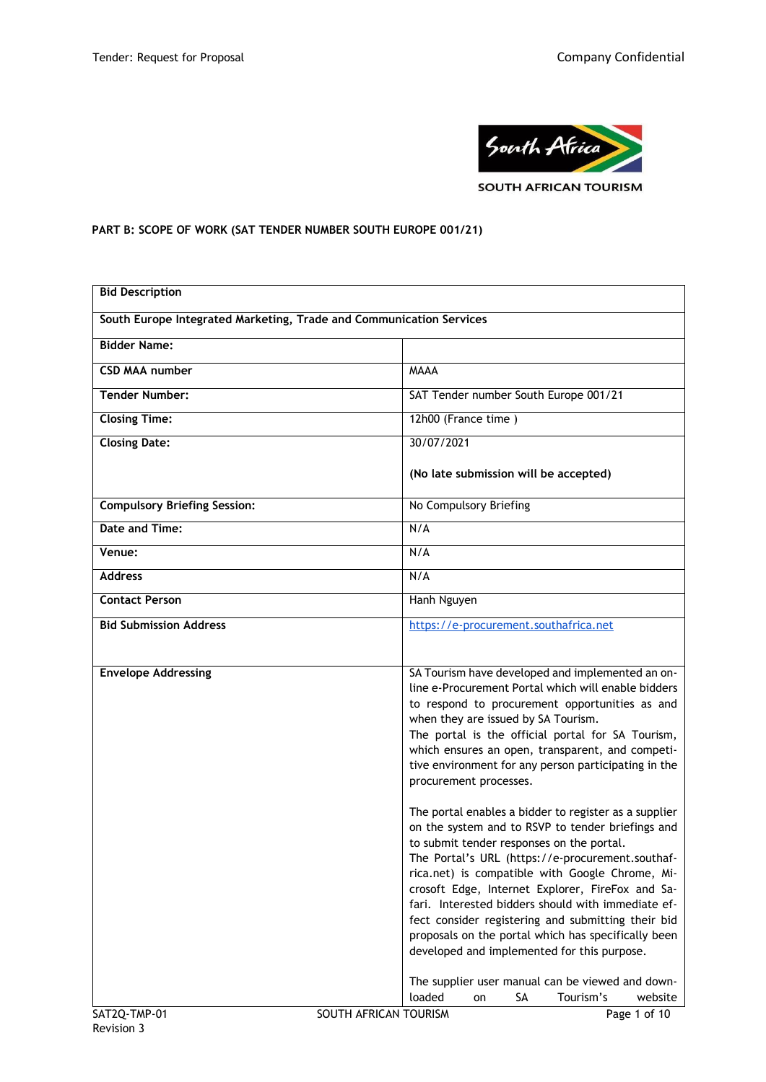

# **PART B: SCOPE OF WORK (SAT TENDER NUMBER SOUTH EUROPE 001/21)**

| <b>Bid Description</b>                                              |                                                                                                                                                                                                                                                                                                                                                                                                                                                                                                                                      |  |
|---------------------------------------------------------------------|--------------------------------------------------------------------------------------------------------------------------------------------------------------------------------------------------------------------------------------------------------------------------------------------------------------------------------------------------------------------------------------------------------------------------------------------------------------------------------------------------------------------------------------|--|
| South Europe Integrated Marketing, Trade and Communication Services |                                                                                                                                                                                                                                                                                                                                                                                                                                                                                                                                      |  |
| <b>Bidder Name:</b>                                                 |                                                                                                                                                                                                                                                                                                                                                                                                                                                                                                                                      |  |
| <b>CSD MAA number</b>                                               | <b>MAAA</b>                                                                                                                                                                                                                                                                                                                                                                                                                                                                                                                          |  |
| <b>Tender Number:</b>                                               | SAT Tender number South Europe 001/21                                                                                                                                                                                                                                                                                                                                                                                                                                                                                                |  |
| <b>Closing Time:</b>                                                | 12h00 (France time)                                                                                                                                                                                                                                                                                                                                                                                                                                                                                                                  |  |
| <b>Closing Date:</b>                                                | 30/07/2021                                                                                                                                                                                                                                                                                                                                                                                                                                                                                                                           |  |
|                                                                     | (No late submission will be accepted)                                                                                                                                                                                                                                                                                                                                                                                                                                                                                                |  |
| <b>Compulsory Briefing Session:</b>                                 | No Compulsory Briefing                                                                                                                                                                                                                                                                                                                                                                                                                                                                                                               |  |
| Date and Time:                                                      | N/A                                                                                                                                                                                                                                                                                                                                                                                                                                                                                                                                  |  |
| Venue:                                                              | N/A                                                                                                                                                                                                                                                                                                                                                                                                                                                                                                                                  |  |
| <b>Address</b>                                                      | N/A                                                                                                                                                                                                                                                                                                                                                                                                                                                                                                                                  |  |
| <b>Contact Person</b>                                               | Hanh Nguyen                                                                                                                                                                                                                                                                                                                                                                                                                                                                                                                          |  |
| <b>Bid Submission Address</b>                                       | https://e-procurement.southafrica.net                                                                                                                                                                                                                                                                                                                                                                                                                                                                                                |  |
|                                                                     |                                                                                                                                                                                                                                                                                                                                                                                                                                                                                                                                      |  |
| <b>Envelope Addressing</b>                                          | SA Tourism have developed and implemented an on-<br>line e-Procurement Portal which will enable bidders<br>to respond to procurement opportunities as and<br>when they are issued by SA Tourism.<br>The portal is the official portal for SA Tourism,<br>which ensures an open, transparent, and competi-<br>tive environment for any person participating in the<br>procurement processes.                                                                                                                                          |  |
|                                                                     | The portal enables a bidder to register as a supplier<br>on the system and to RSVP to tender briefings and<br>to submit tender responses on the portal.<br>The Portal's URL (https://e-procurement.southaf-<br>rica.net) is compatible with Google Chrome, Mi-<br>crosoft Edge, Internet Explorer, FireFox and Sa-<br>fari. Interested bidders should with immediate ef-<br>fect consider registering and submitting their bid<br>proposals on the portal which has specifically been<br>developed and implemented for this purpose. |  |
| SAT2Q-TMP-01                                                        | The supplier user manual can be viewed and down-<br>loaded<br>SA<br>Tourism's<br>website<br>on<br>SOUTH AFRICAN TOURISM<br>Page 1 of 10                                                                                                                                                                                                                                                                                                                                                                                              |  |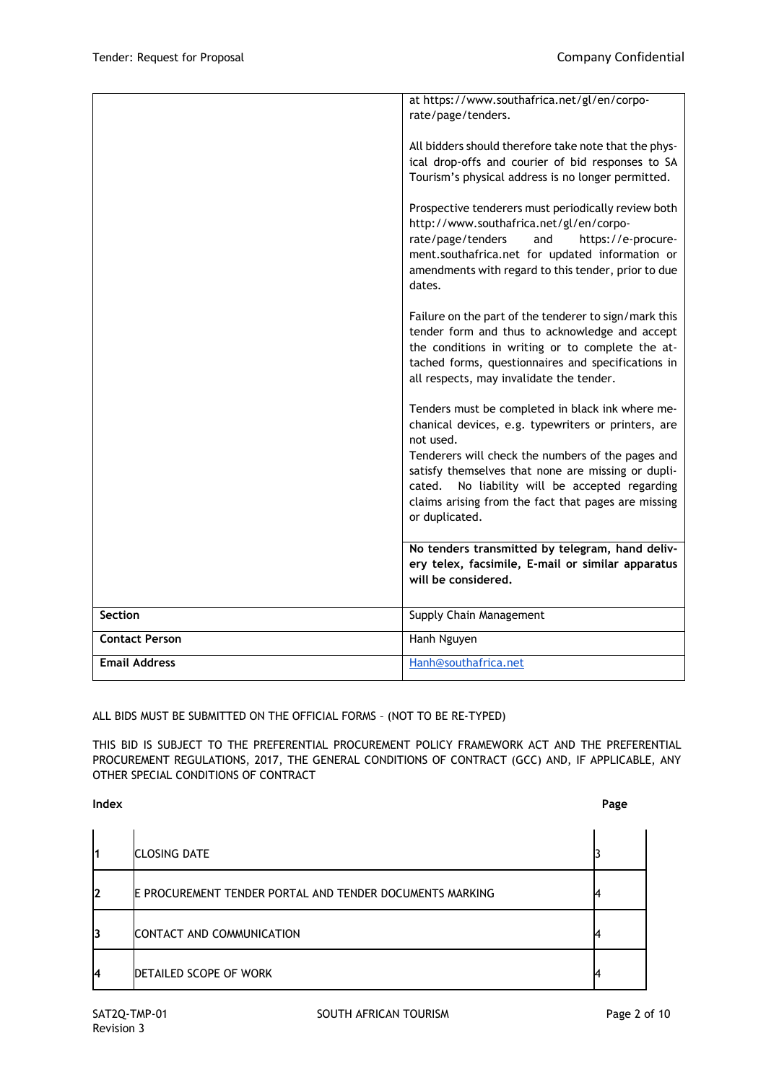|                       | at https://www.southafrica.net/gl/en/corpo-           |
|-----------------------|-------------------------------------------------------|
|                       | rate/page/tenders.                                    |
|                       |                                                       |
|                       | All bidders should therefore take note that the phys- |
|                       | ical drop-offs and courier of bid responses to SA     |
|                       | Tourism's physical address is no longer permitted.    |
|                       |                                                       |
|                       | Prospective tenderers must periodically review both   |
|                       | http://www.southafrica.net/gl/en/corpo-               |
|                       | rate/page/tenders<br>and<br>https://e-procure-        |
|                       | ment.southafrica.net for updated information or       |
|                       | amendments with regard to this tender, prior to due   |
|                       | dates.                                                |
|                       |                                                       |
|                       | Failure on the part of the tenderer to sign/mark this |
|                       | tender form and thus to acknowledge and accept        |
|                       | the conditions in writing or to complete the at-      |
|                       | tached forms, questionnaires and specifications in    |
|                       | all respects, may invalidate the tender.              |
|                       |                                                       |
|                       | Tenders must be completed in black ink where me-      |
|                       | chanical devices, e.g. typewriters or printers, are   |
|                       | not used.                                             |
|                       | Tenderers will check the numbers of the pages and     |
|                       | satisfy themselves that none are missing or dupli-    |
|                       | No liability will be accepted regarding<br>cated.     |
|                       | claims arising from the fact that pages are missing   |
|                       | or duplicated.                                        |
|                       |                                                       |
|                       | No tenders transmitted by telegram, hand deliv-       |
|                       | ery telex, facsimile, E-mail or similar apparatus     |
|                       | will be considered.                                   |
|                       |                                                       |
| <b>Section</b>        | Supply Chain Management                               |
| <b>Contact Person</b> | Hanh Nguyen                                           |
|                       |                                                       |
| <b>Email Address</b>  | Hanh@southafrica.net                                  |
|                       |                                                       |

## ALL BIDS MUST BE SUBMITTED ON THE OFFICIAL FORMS – (NOT TO BE RE-TYPED)

THIS BID IS SUBJECT TO THE PREFERENTIAL PROCUREMENT POLICY FRAMEWORK ACT AND THE PREFERENTIAL PROCUREMENT REGULATIONS, 2017, THE GENERAL CONDITIONS OF CONTRACT (GCC) AND, IF APPLICABLE, ANY OTHER SPECIAL CONDITIONS OF CONTRACT

**Index Page**

|    | <b>CLOSING DATE</b>                                              |  |
|----|------------------------------------------------------------------|--|
| l2 | <b>IE PROCUREMENT TENDER PORTAL AND TENDER DOCUMENTS MARKING</b> |  |
| 13 | CONTACT AND COMMUNICATION                                        |  |
| 14 | DETAILED SCOPE OF WORK                                           |  |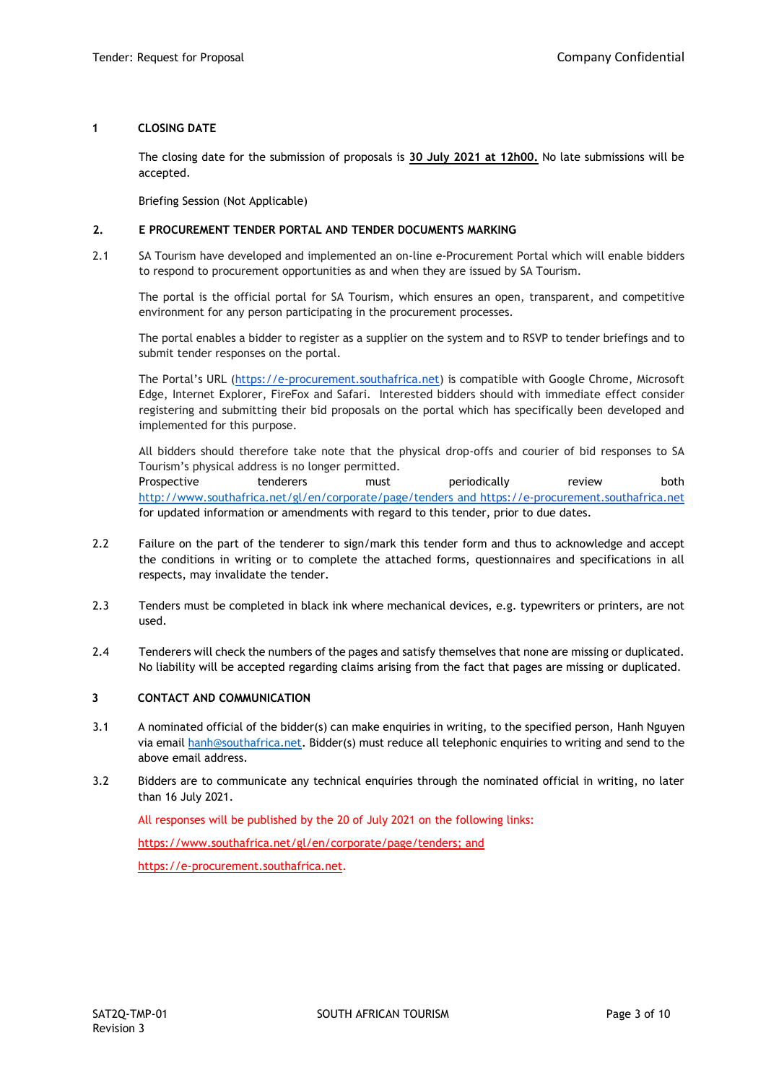#### **1 CLOSING DATE**

The closing date for the submission of proposals is **30 July 2021 at 12h00.** No late submissions will be accepted.

Briefing Session (Not Applicable)

#### **2. E PROCUREMENT TENDER PORTAL AND TENDER DOCUMENTS MARKING**

2.1 SA Tourism have developed and implemented an on-line e-Procurement Portal which will enable bidders to respond to procurement opportunities as and when they are issued by SA Tourism.

The portal is the official portal for SA Tourism, which ensures an open, transparent, and competitive environment for any person participating in the procurement processes.

The portal enables a bidder to register as a supplier on the system and to RSVP to tender briefings and to submit tender responses on the portal.

The Portal's URL ([https://e-procurement.southafrica.net\)](https://e-procurement.southafrica.net/) is compatible with Google Chrome, Microsoft Edge, Internet Explorer, FireFox and Safari. Interested bidders should with immediate effect consider registering and submitting their bid proposals on the portal which has specifically been developed and implemented for this purpose.

All bidders should therefore take note that the physical drop-offs and courier of bid responses to SA Tourism's physical address is no longer permitted. Prospective tenderers must periodically review both <http://www.southafrica.net/gl/en/corporate/page/tenders> and [https://e-procurement.southafrica.net](https://e-procurement.southafrica.net/)

for updated information or amendments with regard to this tender, prior to due dates.

- 2.2 Failure on the part of the tenderer to sign/mark this tender form and thus to acknowledge and accept the conditions in writing or to complete the attached forms, questionnaires and specifications in all respects, may invalidate the tender.
- 2.3 Tenders must be completed in black ink where mechanical devices, e.g. typewriters or printers, are not used.
- 2.4 Tenderers will check the numbers of the pages and satisfy themselves that none are missing or duplicated. No liability will be accepted regarding claims arising from the fact that pages are missing or duplicated.

## **3 CONTACT AND COMMUNICATION**

- 3.1 A nominated official of the bidder(s) can make enquiries in writing, to the specified person, Hanh Nguyen via email [hanh@southafrica.net.](mailto:hanh@southafrica.net) Bidder(s) must reduce all telephonic enquiries to writing and send to the above email address.
- 3.2 Bidders are to communicate any technical enquiries through the nominated official in writing, no later than 16 July 2021.

All responses will be published by the 20 of July 2021 on the following links:

[https://www.southafrica.net/gl/en/corporate/page/tenders;](https://www.southafrica.net/gl/en/corporate/page/tenders) and

[https://e-procurement.southafrica.net.](https://e-procurement.southafrica.net/)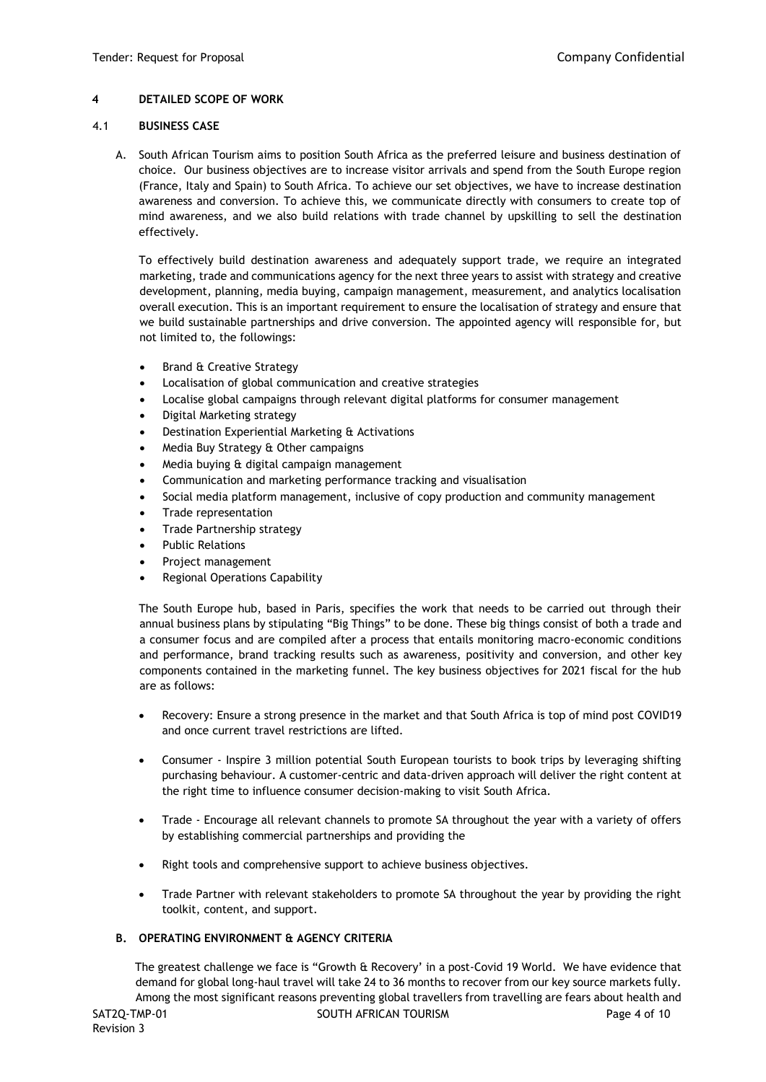## **4 DETAILED SCOPE OF WORK**

#### 4.1 **BUSINESS CASE**

A. South African Tourism aims to position South Africa as the preferred leisure and business destination of choice. Our business objectives are to increase visitor arrivals and spend from the South Europe region (France, Italy and Spain) to South Africa. To achieve our set objectives, we have to increase destination awareness and conversion. To achieve this, we communicate directly with consumers to create top of mind awareness, and we also build relations with trade channel by upskilling to sell the destination effectively.

To effectively build destination awareness and adequately support trade, we require an integrated marketing, trade and communications agency for the next three years to assist with strategy and creative development, planning, media buying, campaign management, measurement, and analytics localisation overall execution. This is an important requirement to ensure the localisation of strategy and ensure that we build sustainable partnerships and drive conversion. The appointed agency will responsible for, but not limited to, the followings:

- Brand & Creative Strategy
- Localisation of global communication and creative strategies
- Localise global campaigns through relevant digital platforms for consumer management
- Digital Marketing strategy
- Destination Experiential Marketing & Activations
- Media Buy Strategy & Other campaigns
- Media buying & digital campaign management
- Communication and marketing performance tracking and visualisation
- Social media platform management, inclusive of copy production and community management
- Trade representation
- Trade Partnership strategy
- Public Relations
- Project management
- Regional Operations Capability

The South Europe hub, based in Paris, specifies the work that needs to be carried out through their annual business plans by stipulating "Big Things" to be done. These big things consist of both a trade and a consumer focus and are compiled after a process that entails monitoring macro-economic conditions and performance, brand tracking results such as awareness, positivity and conversion, and other key components contained in the marketing funnel. The key business objectives for 2021 fiscal for the hub are as follows:

- Recovery: Ensure a strong presence in the market and that South Africa is top of mind post COVID19 and once current travel restrictions are lifted.
- Consumer Inspire 3 million potential South European tourists to book trips by leveraging shifting purchasing behaviour. A customer-centric and data-driven approach will deliver the right content at the right time to influence consumer decision-making to visit South Africa.
- Trade Encourage all relevant channels to promote SA throughout the year with a variety of offers by establishing commercial partnerships and providing the
- Right tools and comprehensive support to achieve business objectives.
- Trade Partner with relevant stakeholders to promote SA throughout the year by providing the right toolkit, content, and support.

## **B. OPERATING ENVIRONMENT & AGENCY CRITERIA**

SAT2Q-TMP-01 SOUTH AFRICAN TOURISM SAT2Q-TMP-01 The greatest challenge we face is "Growth & Recovery' in a post-Covid 19 World. We have evidence that demand for global long-haul travel will take 24 to 36 months to recover from our key source markets fully. Among the most significant reasons preventing global travellers from travelling are fears about health and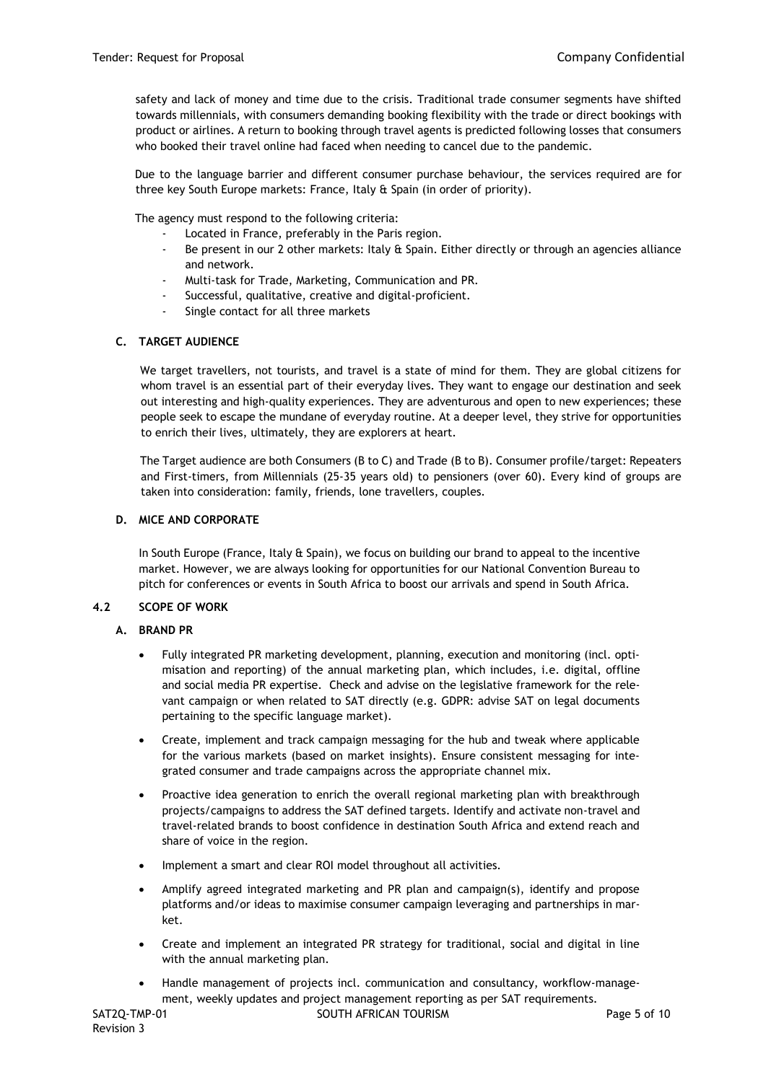safety and lack of money and time due to the crisis. Traditional trade consumer segments have shifted towards millennials, with consumers demanding booking flexibility with the trade or direct bookings with product or airlines. A return to booking through travel agents is predicted following losses that consumers who booked their travel online had faced when needing to cancel due to the pandemic.

Due to the language barrier and different consumer purchase behaviour, the services required are for three key South Europe markets: France, Italy & Spain (in order of priority).

The agency must respond to the following criteria:

- Located in France, preferably in the Paris region.
- Be present in our 2 other markets: Italy  $\hat{\mathbf{t}}$  Spain. Either directly or through an agencies alliance and network.
- Multi-task for Trade, Marketing, Communication and PR.
- Successful, qualitative, creative and digital-proficient.
- Single contact for all three markets

## **C. TARGET AUDIENCE**

We target travellers, not tourists, and travel is a state of mind for them. They are global citizens for whom travel is an essential part of their everyday lives. They want to engage our destination and seek out interesting and high-quality experiences. They are adventurous and open to new experiences; these people seek to escape the mundane of everyday routine. At a deeper level, they strive for opportunities to enrich their lives, ultimately, they are explorers at heart.

The Target audience are both Consumers (B to C) and Trade (B to B). Consumer profile/target: Repeaters and First-timers, from Millennials (25-35 years old) to pensioners (over 60). Every kind of groups are taken into consideration: family, friends, lone travellers, couples.

#### **D. MICE AND CORPORATE**

In South Europe (France, Italy & Spain), we focus on building our brand to appeal to the incentive market. However, we are always looking for opportunities for our National Convention Bureau to pitch for conferences or events in South Africa to boost our arrivals and spend in South Africa.

#### **4.2 SCOPE OF WORK**

#### **A. BRAND PR**

- Fully integrated PR marketing development, planning, execution and monitoring (incl. optimisation and reporting) of the annual marketing plan, which includes, i.e. digital, offline and social media PR expertise. Check and advise on the legislative framework for the relevant campaign or when related to SAT directly (e.g. GDPR: advise SAT on legal documents pertaining to the specific language market).
- Create, implement and track campaign messaging for the hub and tweak where applicable for the various markets (based on market insights). Ensure consistent messaging for integrated consumer and trade campaigns across the appropriate channel mix.
- Proactive idea generation to enrich the overall regional marketing plan with breakthrough projects/campaigns to address the SAT defined targets. Identify and activate non-travel and travel-related brands to boost confidence in destination South Africa and extend reach and share of voice in the region.
- Implement a smart and clear ROI model throughout all activities.
- Amplify agreed integrated marketing and PR plan and campaign(s), identify and propose platforms and/or ideas to maximise consumer campaign leveraging and partnerships in market.
- Create and implement an integrated PR strategy for traditional, social and digital in line with the annual marketing plan.
- Handle management of projects incl. communication and consultancy, workflow-management, weekly updates and project management reporting as per SAT requirements.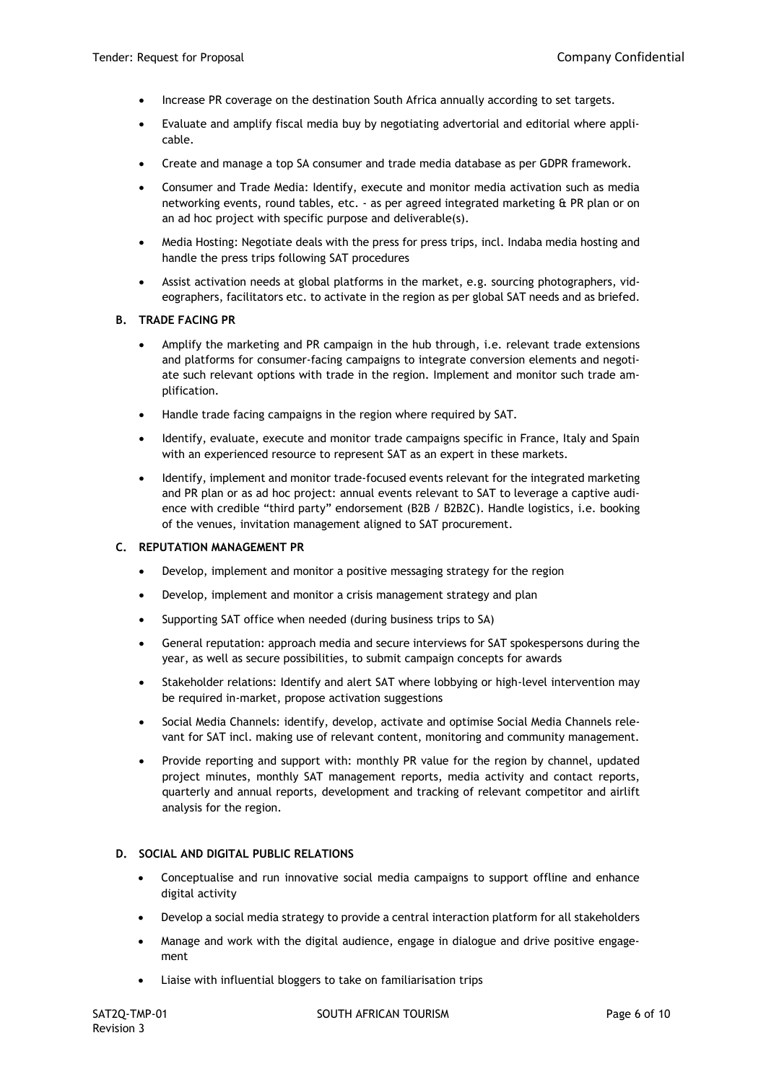- Increase PR coverage on the destination South Africa annually according to set targets.
- Evaluate and amplify fiscal media buy by negotiating advertorial and editorial where applicable.
- Create and manage a top SA consumer and trade media database as per GDPR framework.
- Consumer and Trade Media: Identify, execute and monitor media activation such as media networking events, round tables, etc. - as per agreed integrated marketing & PR plan or on an ad hoc project with specific purpose and deliverable(s).
- Media Hosting: Negotiate deals with the press for press trips, incl. Indaba media hosting and handle the press trips following SAT procedures
- Assist activation needs at global platforms in the market, e.g. sourcing photographers, videographers, facilitators etc. to activate in the region as per global SAT needs and as briefed.

#### **B. TRADE FACING PR**

- Amplify the marketing and PR campaign in the hub through, i.e. relevant trade extensions and platforms for consumer-facing campaigns to integrate conversion elements and negotiate such relevant options with trade in the region. Implement and monitor such trade amplification.
- Handle trade facing campaigns in the region where required by SAT.
- Identify, evaluate, execute and monitor trade campaigns specific in France, Italy and Spain with an experienced resource to represent SAT as an expert in these markets.
- Identify, implement and monitor trade-focused events relevant for the integrated marketing and PR plan or as ad hoc project: annual events relevant to SAT to leverage a captive audience with credible "third party" endorsement (B2B / B2B2C). Handle logistics, i.e. booking of the venues, invitation management aligned to SAT procurement.

#### **C. REPUTATION MANAGEMENT PR**

- Develop, implement and monitor a positive messaging strategy for the region
- Develop, implement and monitor a crisis management strategy and plan
- Supporting SAT office when needed (during business trips to SA)
- General reputation: approach media and secure interviews for SAT spokespersons during the year, as well as secure possibilities, to submit campaign concepts for awards
- Stakeholder relations: Identify and alert SAT where lobbying or high-level intervention may be required in-market, propose activation suggestions
- Social Media Channels: identify, develop, activate and optimise Social Media Channels relevant for SAT incl. making use of relevant content, monitoring and community management.
- Provide reporting and support with: monthly PR value for the region by channel, updated project minutes, monthly SAT management reports, media activity and contact reports, quarterly and annual reports, development and tracking of relevant competitor and airlift analysis for the region.

## **D. SOCIAL AND DIGITAL PUBLIC RELATIONS**

- Conceptualise and run innovative social media campaigns to support offline and enhance digital activity
- Develop a social media strategy to provide a central interaction platform for all stakeholders
- Manage and work with the digital audience, engage in dialogue and drive positive engagement
- Liaise with influential bloggers to take on familiarisation trips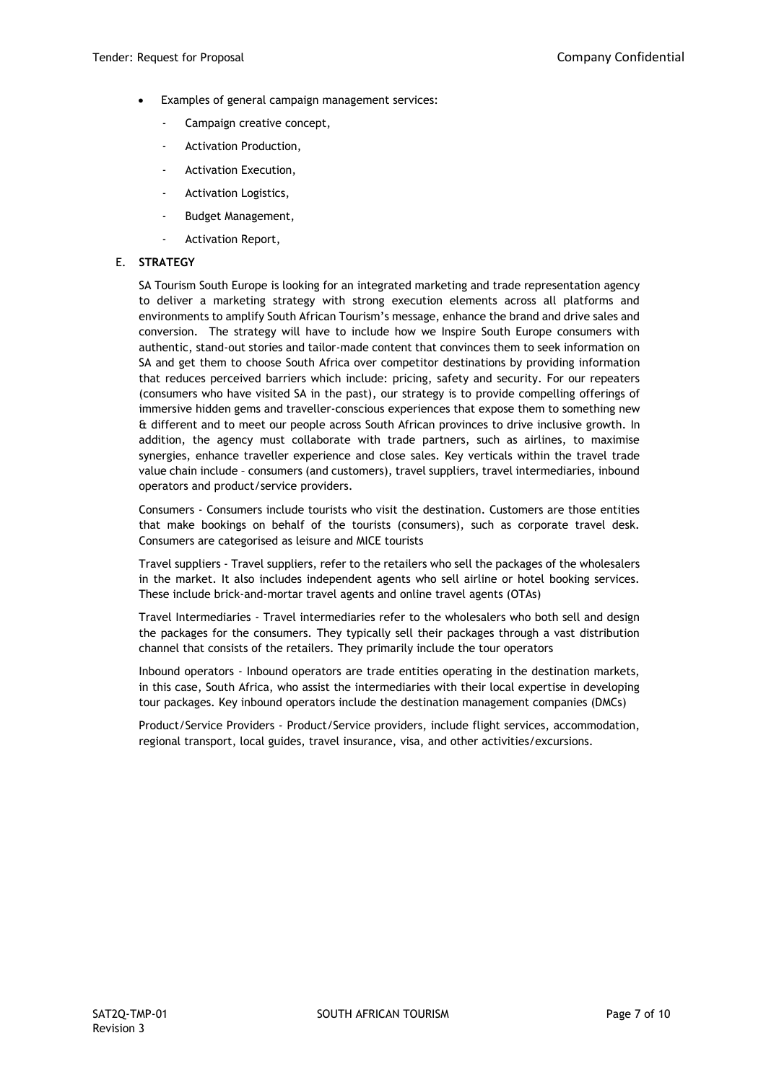- Examples of general campaign management services:
	- Campaign creative concept,
	- Activation Production,
	- Activation Execution,
	- Activation Logistics,
	- Budget Management,
	- Activation Report,

#### E. **STRATEGY**

SA Tourism South Europe is looking for an integrated marketing and trade representation agency to deliver a marketing strategy with strong execution elements across all platforms and environments to amplify South African Tourism's message, enhance the brand and drive sales and conversion. The strategy will have to include how we Inspire South Europe consumers with authentic, stand-out stories and tailor-made content that convinces them to seek information on SA and get them to choose South Africa over competitor destinations by providing information that reduces perceived barriers which include: pricing, safety and security. For our repeaters (consumers who have visited SA in the past), our strategy is to provide compelling offerings of immersive hidden gems and traveller-conscious experiences that expose them to something new & different and to meet our people across South African provinces to drive inclusive growth. In addition, the agency must collaborate with trade partners, such as airlines, to maximise synergies, enhance traveller experience and close sales. Key verticals within the travel trade value chain include – consumers (and customers), travel suppliers, travel intermediaries, inbound operators and product/service providers.

Consumers - Consumers include tourists who visit the destination. Customers are those entities that make bookings on behalf of the tourists (consumers), such as corporate travel desk. Consumers are categorised as leisure and MICE tourists

Travel suppliers - Travel suppliers, refer to the retailers who sell the packages of the wholesalers in the market. It also includes independent agents who sell airline or hotel booking services. These include brick-and-mortar travel agents and online travel agents (OTAs)

Travel Intermediaries - Travel intermediaries refer to the wholesalers who both sell and design the packages for the consumers. They typically sell their packages through a vast distribution channel that consists of the retailers. They primarily include the tour operators

Inbound operators - Inbound operators are trade entities operating in the destination markets, in this case, South Africa, who assist the intermediaries with their local expertise in developing tour packages. Key inbound operators include the destination management companies (DMCs)

Product/Service Providers - Product/Service providers, include flight services, accommodation, regional transport, local guides, travel insurance, visa, and other activities/excursions.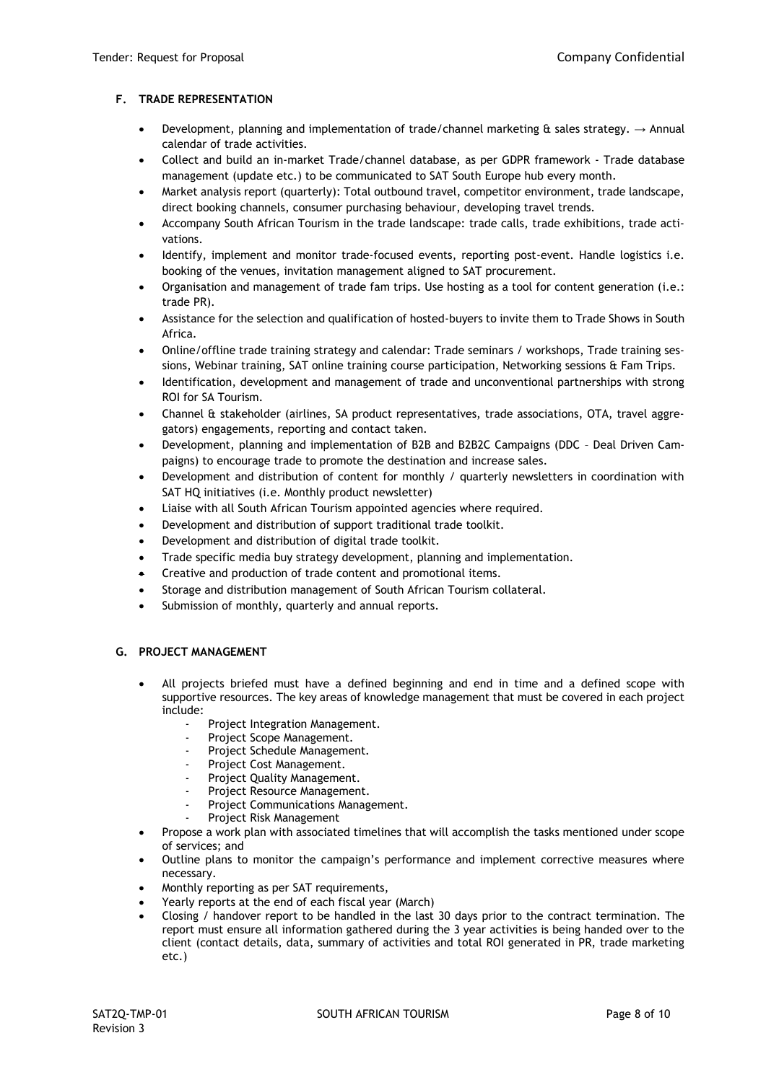## **F. TRADE REPRESENTATION**

- Development, planning and implementation of trade/channel marketing  $\hat{a}$  sales strategy.  $\rightarrow$  Annual calendar of trade activities.
- Collect and build an in-market Trade/channel database, as per GDPR framework Trade database management (update etc.) to be communicated to SAT South Europe hub every month.
- Market analysis report (quarterly): Total outbound travel, competitor environment, trade landscape, direct booking channels, consumer purchasing behaviour, developing travel trends.
- Accompany South African Tourism in the trade landscape: trade calls, trade exhibitions, trade activations.
- Identify, implement and monitor trade-focused events, reporting post-event. Handle logistics i.e. booking of the venues, invitation management aligned to SAT procurement.
- Organisation and management of trade fam trips. Use hosting as a tool for content generation (i.e.: trade PR).
- Assistance for the selection and qualification of hosted-buyers to invite them to Trade Shows in South Africa.
- Online/offline trade training strategy and calendar: Trade seminars / workshops, Trade training sessions, Webinar training, SAT online training course participation, Networking sessions & Fam Trips.
- Identification, development and management of trade and unconventional partnerships with strong ROI for SA Tourism.
- Channel & stakeholder (airlines, SA product representatives, trade associations, OTA, travel aggregators) engagements, reporting and contact taken.
- Development, planning and implementation of B2B and B2B2C Campaigns (DDC Deal Driven Campaigns) to encourage trade to promote the destination and increase sales.
- Development and distribution of content for monthly / quarterly newsletters in coordination with SAT HQ initiatives (i.e. Monthly product newsletter)
- Liaise with all South African Tourism appointed agencies where required.
- Development and distribution of support traditional trade toolkit.
- Development and distribution of digital trade toolkit.
- Trade specific media buy strategy development, planning and implementation.
- Creative and production of trade content and promotional items.
- Storage and distribution management of South African Tourism collateral.
- Submission of monthly, quarterly and annual reports.

#### **G. PROJECT MANAGEMENT**

- All projects briefed must have a defined beginning and end in time and a defined scope with supportive resources. The key areas of knowledge management that must be covered in each project include:
	- Project Integration Management.
	- Project Scope Management.
	- Project Schedule Management.
	- Project Cost Management.
	- Project Quality Management.
	- Project Resource Management.
	- Project Communications Management.
	- Project Risk Management
- Propose a work plan with associated timelines that will accomplish the tasks mentioned under scope of services; and
- Outline plans to monitor the campaign's performance and implement corrective measures where necessary.
- Monthly reporting as per SAT requirements,
- Yearly reports at the end of each fiscal year (March)
- Closing / handover report to be handled in the last 30 days prior to the contract termination. The report must ensure all information gathered during the 3 year activities is being handed over to the client (contact details, data, summary of activities and total ROI generated in PR, trade marketing etc.)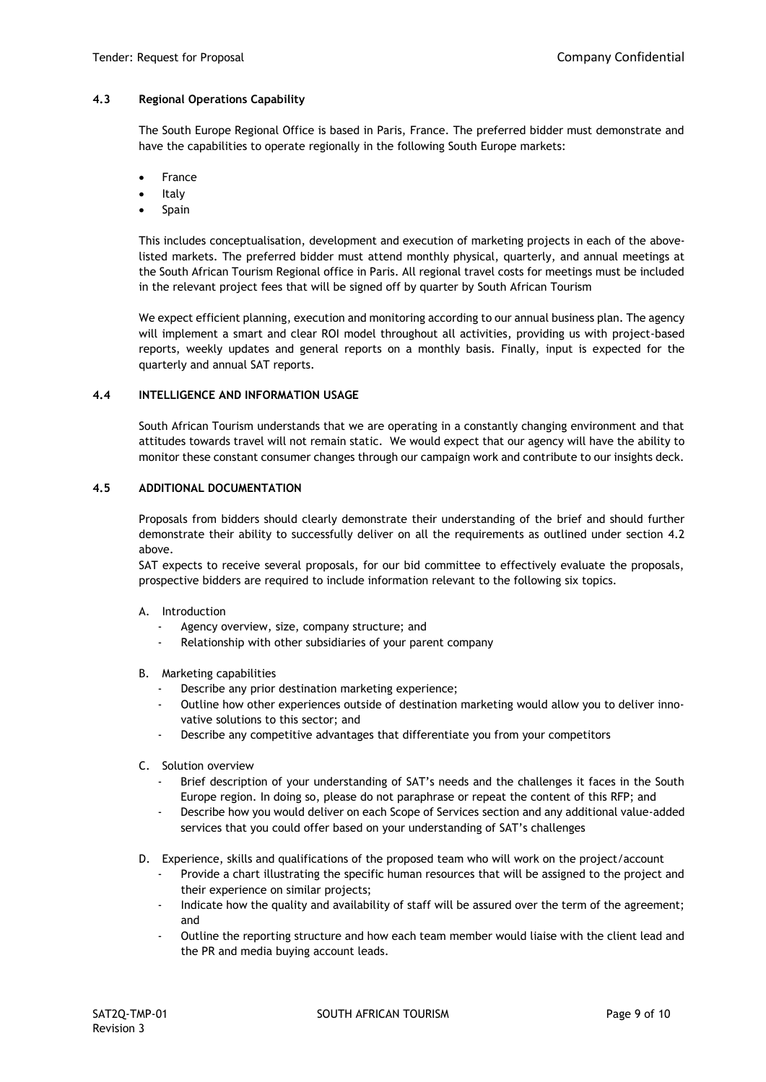## **4.3 Regional Operations Capability**

The South Europe Regional Office is based in Paris, France. The preferred bidder must demonstrate and have the capabilities to operate regionally in the following South Europe markets:

- **France**
- **Italy**
- **Spain**

This includes conceptualisation, development and execution of marketing projects in each of the abovelisted markets. The preferred bidder must attend monthly physical, quarterly, and annual meetings at the South African Tourism Regional office in Paris. All regional travel costs for meetings must be included in the relevant project fees that will be signed off by quarter by South African Tourism

We expect efficient planning, execution and monitoring according to our annual business plan. The agency will implement a smart and clear ROI model throughout all activities, providing us with project-based reports, weekly updates and general reports on a monthly basis. Finally, input is expected for the quarterly and annual SAT reports.

#### **4.4 INTELLIGENCE AND INFORMATION USAGE**

South African Tourism understands that we are operating in a constantly changing environment and that attitudes towards travel will not remain static. We would expect that our agency will have the ability to monitor these constant consumer changes through our campaign work and contribute to our insights deck.

## **4.5 ADDITIONAL DOCUMENTATION**

Proposals from bidders should clearly demonstrate their understanding of the brief and should further demonstrate their ability to successfully deliver on all the requirements as outlined under section 4.2 above.

SAT expects to receive several proposals, for our bid committee to effectively evaluate the proposals, prospective bidders are required to include information relevant to the following six topics.

- A. Introduction
	- Agency overview, size, company structure; and
	- Relationship with other subsidiaries of your parent company
- B. Marketing capabilities
	- Describe any prior destination marketing experience;
	- Outline how other experiences outside of destination marketing would allow you to deliver innovative solutions to this sector; and
	- Describe any competitive advantages that differentiate you from your competitors
- C. Solution overview
	- Brief description of your understanding of SAT's needs and the challenges it faces in the South Europe region. In doing so, please do not paraphrase or repeat the content of this RFP; and
	- Describe how you would deliver on each Scope of Services section and any additional value-added services that you could offer based on your understanding of SAT's challenges
- D. Experience, skills and qualifications of the proposed team who will work on the project/account
	- Provide a chart illustrating the specific human resources that will be assigned to the project and their experience on similar projects;
	- Indicate how the quality and availability of staff will be assured over the term of the agreement; and
	- Outline the reporting structure and how each team member would liaise with the client lead and the PR and media buying account leads.